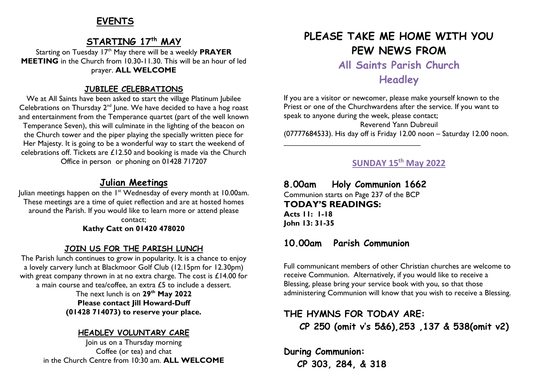## **EVENTS**

### **STARTING 17 th MAY**

Starting on Tuesday 17th May there will be a weekly **PRAYER MEETING** in the Church from 10.30-11.30. This will be an hour of led prayer. **ALL WELCOME**

#### **JUBILEE CELEBRATIONS**

We at All Saints have been asked to start the village Platinum Jubilee Celebrations on Thursday  $2^{nd}$  June. We have decided to have a hog roast and entertainment from the Temperance quartet (part of the well known Temperance Seven), this will culminate in the lighting of the beacon on the Church tower and the piper playing the specially written piece for Her Majesty. It is going to be a wonderful way to start the weekend of celebrations off. Tickets are £12.50 and booking is made via the Church Office in person or phoning on 01428 717207

### **Julian Meetings**

Julian meetings happen on the 1st Wednesday of every month at 10.00am. These meetings are a time of quiet reflection and are at hosted homes around the Parish. If you would like to learn more or attend please contact;

**Kathy Catt on 01420 478020**

#### **JOIN US FOR THE PARISH LUNCH**

The Parish lunch continues to grow in popularity. It is a chance to enjoy a lovely carvery lunch at Blackmoor Golf Club (12.15pm for 12.30pm) with great company thrown in at no extra charge. The cost is £14.00 for a main course and tea/coffee, an extra £5 to include a dessert.

> The next lunch is on **29 th May 2022 Please contact Jill Howard-Duff (01428 714073) to reserve your place.**

#### **HEADLEY VOLUNTARY CARE**

Join us on a Thursday morning Coffee (or tea) and chat in the Church Centre from 10:30 am. **ALL WELCOME**

# **PLEASE TAKE ME HOME WITH YOU PEW NEWS FROM**

**All Saints Parish Church**

## **Headley**

If you are a visitor or newcomer, please make yourself known to the Priest or one of the Churchwardens after the service. If you want to speak to anyone during the week, please contact;

Reverend Yann Dubreuil (07777684533). His day off is Friday 12.00 noon – Saturday 12.00 noon. \_\_\_\_\_\_\_\_\_\_\_\_\_\_\_\_\_\_\_\_\_\_\_\_\_\_\_\_\_\_\_\_\_\_\_

#### **SUNDAY 15th May 2022**

**8.00am Holy Communion 1662** Communion starts on Page 237 of the BCP **TODAY'S READINGS: Acts 11: 1-18 John 13: 31-35**

#### **10.00am Parish Communion**

Full communicant members of other Christian churches are welcome to receive Communion. Alternatively, if you would like to receive a Blessing, please bring your service book with you, so that those administering Communion will know that you wish to receive a Blessing.

## **THE HYMNS FOR TODAY ARE: CP 250 (omit v's 5&6),253 ,137 & 538(omit v2)**

**During Communion: CP 303, 284, & 318**